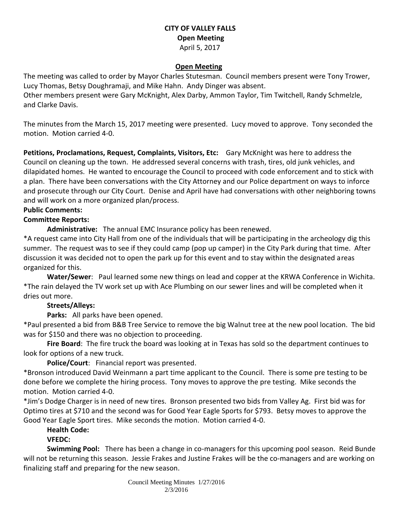### **CITY OF VALLEY FALLS Open Meeting** April 5, 2017

#### **Open Meeting**

The meeting was called to order by Mayor Charles Stutesman. Council members present were Tony Trower, Lucy Thomas, Betsy Doughramaji, and Mike Hahn. Andy Dinger was absent. Other members present were Gary McKnight, Alex Darby, Ammon Taylor, Tim Twitchell, Randy Schmelzle, and Clarke Davis.

The minutes from the March 15, 2017 meeting were presented. Lucy moved to approve. Tony seconded the motion. Motion carried 4-0.

**Petitions, Proclamations, Request, Complaints, Visitors, Etc:** Gary McKnight was here to address the Council on cleaning up the town. He addressed several concerns with trash, tires, old junk vehicles, and dilapidated homes. He wanted to encourage the Council to proceed with code enforcement and to stick with a plan. There have been conversations with the City Attorney and our Police department on ways to inforce and prosecute through our City Court. Denise and April have had conversations with other neighboring towns and will work on a more organized plan/process.

## **Public Comments:**

### **Committee Reports:**

**Administrative:** The annual EMC Insurance policy has been renewed.

\*A request came into City Hall from one of the individuals that will be participating in the archeology dig this summer. The request was to see if they could camp (pop up camper) in the City Park during that time. After discussion it was decided not to open the park up for this event and to stay within the designated areas organized for this.

**Water/Sewer**: Paul learned some new things on lead and copper at the KRWA Conference in Wichita. \*The rain delayed the TV work set up with Ace Plumbing on our sewer lines and will be completed when it dries out more.

## **Streets/Alleys:**

**Parks:** All parks have been opened.

\*Paul presented a bid from B&B Tree Service to remove the big Walnut tree at the new pool location. The bid was for \$150 and there was no objection to proceeding.

**Fire Board**: The fire truck the board was looking at in Texas has sold so the department continues to look for options of a new truck.

**Police/Court**: Financial report was presented.

\*Bronson introduced David Weinmann a part time applicant to the Council. There is some pre testing to be done before we complete the hiring process. Tony moves to approve the pre testing. Mike seconds the motion. Motion carried 4-0.

\*Jim's Dodge Charger is in need of new tires. Bronson presented two bids from Valley Ag. First bid was for Optimo tires at \$710 and the second was for Good Year Eagle Sports for \$793. Betsy moves to approve the Good Year Eagle Sport tires. Mike seconds the motion. Motion carried 4-0.

#### **Health Code:**

# **VFEDC:**

**Swimming Pool:** There has been a change in co-managers for this upcoming pool season. Reid Bunde will not be returning this season. Jessie Frakes and Justine Frakes will be the co-managers and are working on finalizing staff and preparing for the new season.